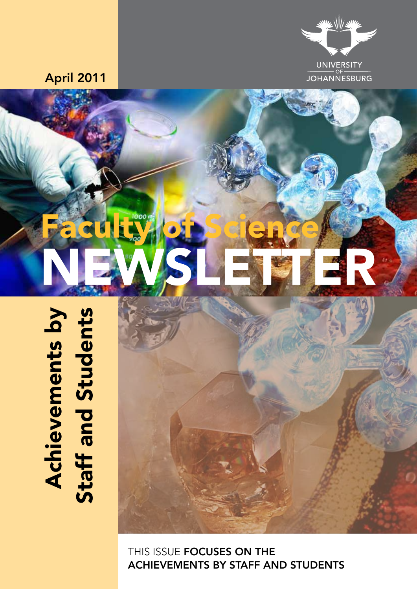# **Achievements by**<br>Staff and Students

THIS ISSUE **FOCUSES ON THE** achievements by staff and students





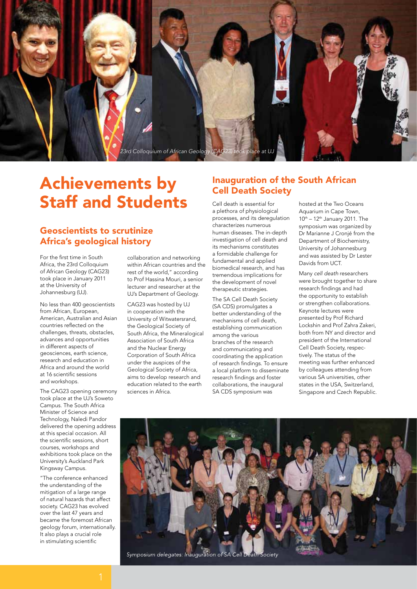

## Achievements by Staff and Students

### Geoscientists to scrutinize Africa's geological history

For the first time in South Africa, the 23rd Colloquium of African Geology (CAG23) took place in January 2011 at the University of Johannesburg (UJ).

No less than 400 geoscientists from African, European, American, Australian and Asian countries reflected on the challenges, threats, obstacles, advances and opportunities in different aspects of geosciences, earth science, research and education in Africa and around the world at 16 scientific sessions and workshops.

The CAG23 opening ceremony took place at the UJ's Soweto Campus. The South Africa Minister of Science and Technology, Naledi Pandor delivered the opening address at this special occasion. All the scientific sessions, short courses, workshops and exhibitions took place on the University's Auckland Park Kingsway Campus.

"The conference enhanced the understanding of the mitigation of a large range of natural hazards that affect society. CAG23 has evolved over the last 47 years and became the foremost African geology forum, internationally. It also plays a crucial role in stimulating scientific

collaboration and networking within African countries and the rest of the world," according to Prof Hassina Mouri, a senior lecturer and researcher at the UJ's Department of Geology.

CAG23 was hosted by UJ in cooperation with the University of Witwatersrand, the Geological Society of South Africa, the Mineralogical Association of South Africa and the Nuclear Energy Corporation of South Africa under the auspices of the Geological Society of Africa, aims to develop research and education related to the earth sciences in Africa.

### Inauguration of the South African Cell Death Society

Cell death is essential for a plethora of physiological processes, and its deregulation characterizes numerous human diseases. The in-depth investigation of cell death and its mechanisms constitutes a formidable challenge for fundamental and applied biomedical research, and has tremendous implications for the development of novel therapeutic strategies.

The SA Cell Death Society (SA CDS) promulgates a better understanding of the mechanisms of cell death, establishing communication among the various branches of the research and communicating and coordinating the application of research findings. To ensure a local platform to disseminate research findings and foster collaborations, the inaugural SA CDS symposium was

hosted at the Two Oceans Aquarium in Cape Town,  $10<sup>th</sup> - 12<sup>th</sup>$  January 2011. The symposium was organized by Dr Marianne J Cronjé from the Department of Biochemistry, University of Johannesburg and was assisted by Dr Lester Davids from UCT.

Many *cell death* researchers were brought together to share research findings and had the opportunity to establish or strengthen collaborations. Keynote lectures were presented by Prof Richard Lockshin and Prof Zahra Zakeri, both from NY and director and president of the International Cell Death Society, respectively. The status of the meeting was further enhanced by colleagues attending from various SA universities, other states in the USA, Switzerland, Singapore and Czech Republic.

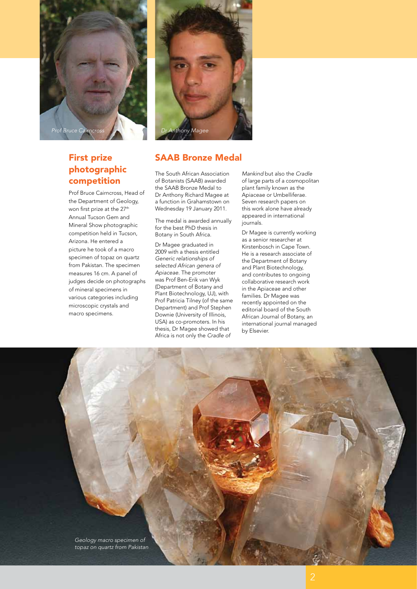

### First prize photographic competition

Prof Bruce Cairncross, Head of the Department of Geology, won first prize at the 27<sup>th</sup> Annual Tucson Gem and Mineral Show photographic competition held in Tucson, Arizona. He entered a picture he took of a macro specimen of topaz on quartz from Pakistan. The specimen measures 16 cm. A panel of judges decide on photographs of mineral specimens in various categories including microscopic crystals and macro specimens.



### SAAB Bronze Medal

The South African Association of Botanists (SAAB) awarded the SAAB Bronze Medal to Dr Anthony Richard Magee at a function in Grahamstown on Wednesday 19 January 2011.

The medal is awarded annually for the best PhD thesis in Botany in South Africa.

Dr Magee graduated in 2009 with a thesis entitled *Generic relationships of selected African genera of Apiaceae*. The promoter was Prof Ben-Erik van Wyk (Department of Botany and Plant Biotechnology, UJ), with Prof Patricia Tilney (of the same Department) and Prof Stephen Downie (University of Illinois, USA) as co-promoters. In his thesis, Dr Magee showed that Africa is not only the *Cradle of* 

*Mankind* but also the *Cradle* of large parts of a cosmopolitan plant family known as the Apiaceae or Umbelliferae. Seven research papers on this work alone have already appeared in international journals.

Dr Magee is currently working as a senior researcher at Kirstenbosch in Cape Town. He is a research associate of the Department of Botany and Plant Biotechnology, and contributes to ongoing collaborative research work in the Apiaceae and other families. Dr Magee was recently appointed on the editorial board of the South African Journal of Botany, an international journal managed by Elsevier.

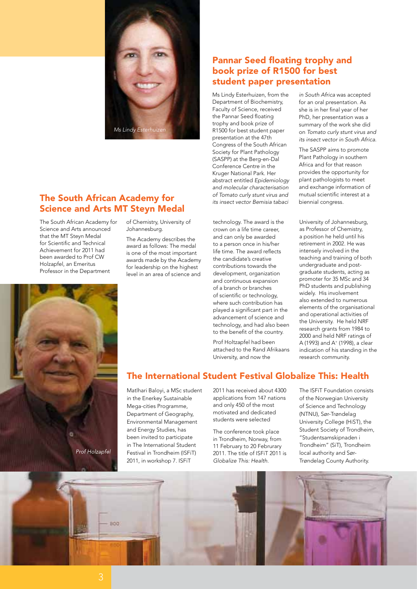

### The South African Academy for Science and Arts MT Steyn Medal

The South African Academy for Science and Arts announced that the MT Steyn Medal for Scientific and Technical Achievement for 2011 had been awarded to Prof CW Holzapfel, an Emeritus Professor in the Department

of Chemistry, University of Johannesburg.

The Academy describes the award as follows: The medal is one of the most important awards made by the Academy for leadership on the highest level in an area of science and

### Pannar Seed floating trophy and book prize of R1500 for best student paper presentation

Ms Lindy Esterhuizen, from the Department of Biochemistry, Faculty of Science, received the Pannar Seed floating trophy and book prize of R1500 for best student paper presentation at the 47th Congress of the South African Society for Plant Pathology (SASPP) at the Berg-en-Dal Conference Centre in the Kruger National Park. Her abstract entitled *Epidemiology and molecular characterisation of Tomato curly stunt virus and its insect vector Bemisia tabaci* 

technology. The award is the crown on a life time career, and can only be awarded to a person once in his/her life time. The award reflects the candidate's creative contributions towards the development, organization and continuous expansion of a branch or branches of scientific or technology, where such contribution has played a significant part in the advancement of science and technology, and had also been to the benefit of the country.

Prof Holtzapfel had been attached to the Rand Afrikaans University, and now the

*in South Africa* was accepted for an oral presentation. As she is in her final year of her PhD, her presentation was a summary of the work she did on *Tomato curly stunt virus and its insect vector in South Africa.* 

The SASPP aims to promote Plant Pathology in southern Africa and for that reason provides the opportunity for plant pathologists to meet and exchange information of mutual scientific interest at a biennial congress.

University of Johannesburg, as Professor of Chemistry, a position he held until his retirement in 2002. He was intensely involved in the teaching and training of both undergraduate and postgraduate students, acting as promoter for 35 MSc and 34 PhD students and publishing widely. His involvement also extended to numerous elements of the organisational and operational activities of the University. He held NRF research grants from 1984 to 2000 and held NRF ratings of A (1993) and A<sup>+</sup> (1998), a clear indication of his standing in the research community.



Matlhari Baloyi, a MSc student in the Enerkey Sustainable Mega-cities Programme, Department of Geography, Environmental Management and Energy Studies, has been invited to participate in The International Student Festival in Trondheim (ISFiT) 2011, in workshop 7. ISFiT

2011 has received about 4300 applications from 147 nations and only 450 of the most motivated and dedicated students were selected

The conference took place in Trondheim, Norway, from 11 February to 20 Februrary 2011. The title of ISFiT 2011 is *Globalize This: Health.*

The ISFiT Foundation consists of the Norwegian University of Science and Technology (NTNU), Sør-Trøndelag University College (HiST), the Student Society of Trondheim, "Studentsamskipnaden i Trondheim" (SiT), Trondheim local authority and Sør-Trøndelag County Authority.



Prof Holzapfel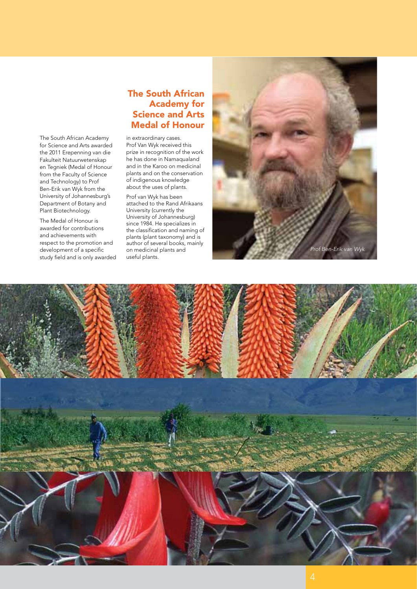The South African Academy for Science and Arts awarded the 2011 Erepenning van die Fakulteit Natuurwetenskap en Tegniek (Medal of Honour from the Faculty of Science and Technology) to Prof Ben-Erik van Wyk from the University of Johannesburg's Department of Botany and Plant Biotechnology.

The Medal of Honour is awarded for contributions and achievements with respect to the promotion and development of a specific study field and is only awarded

### The South African Academy for Science and Arts Medal of Honour

in extraordinary cases. Prof Van Wyk received this prize in recognition of the work he has done in Namaqualand and in the Karoo on medicinal plants and on the conservation of indigenous knowledge about the uses of plants.

Prof van Wyk has been attached to the Rand Afrikaans University (currently the University of Johannesburg) since 1984. He specializes in the classification and naming of plants (plant taxonomy) and is author of several books, mainly on medicinal plants and useful plants.



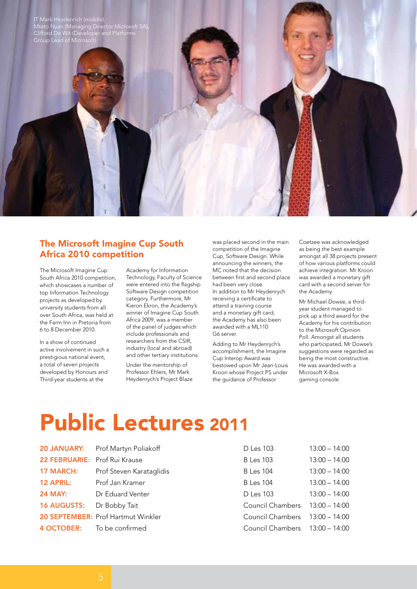

### The Microsoft Imagine Cup South Africa 2010 competition

The Microsoft Imagine Cup South Africa 2010 competition, which showcases a number of top Information Technology projects as developed by university students from all over South Africa, was held at the Farm Inn in Pretoria from 6 to 8 December 2010.

In a show of continued active involvement in such a prestigious national event, a total of seven projects developed by Honours and Third-year students at the

Academy for Information Technology, Faculty of Science were entered into the flagship Software Design competition category. Furthermore, Mr Kieron Ekron, the Academy's winner of Imagine Cup South Africa 2009, was a member of the panel of judges which include professionals and researchers from the CSIR, industry (local and abroad) and other tertiary institutions.

Under the mentorship of Professor Ehlers, Mr Mark Heydenrych's Project Blaze was placed second in the main competition of the Imagine Cup, Software Design. While announcing the winners, the MC noted that the decision between first and second place had been very close. In addition to Mr Heydenrych receiving a certificate to attend a training course and a monetary gift card, the Academy has also been awarded with a ML110 G6 server.

Adding to Mr Heydenrych's accomplishment, the Imagine Cup Interop Award was bestowed upon Mr Jean-Louis Kroon whose Project PS under the guidance of Professor

Coetzee was acknowledged as being the best example amongst all 38 projects present of how various platforms could achieve integration. Mr Kroon was awarded a monetary gift card with a second server for the Academy.

Mr Michael Dowse, a thirdyear student managed to pick up a third award for the Academy for his contribution to the Microsoft Opinion Poll. Amongst all students who participated, Mr Dowse's suggestions were regarded as being the most constructive. He was awarded with a Microsoft X-Box gaming console.

# Public Lectures 2011

|                               | 20 JANUARY: Prof Martyn Poliakoff  | D Les 103                      | $13:00 - 14:00$ |
|-------------------------------|------------------------------------|--------------------------------|-----------------|
| 22 FEBRUARIE: Prof Rui Krause |                                    | <b>B</b> Les 103               | $13:00 - 14:00$ |
| <b>17 MARCH:</b>              | Prof Steven Karataglidis           | <b>B</b> Les 104               | $13:00 - 14:00$ |
| <b>12 APRIL:</b>              | Prof Jan Kramer                    | <b>B</b> Les 104               | $13:00 - 14:00$ |
| <b>24 MAY:</b>                | Dr Eduard Venter                   | D Les 103                      | $13:00 - 14:00$ |
| 16 AUGUSTS: Dr Bobby Tait     |                                    | Council Chambers 13:00 - 14:00 |                 |
|                               | 20 SEPTEMBER: Prof Hartmut Winkler | Council Chambers 13:00 - 14:00 |                 |
|                               | 4 OCTOBER: To be confirmed         | Council Chambers 13:00 - 14:00 |                 |
|                               |                                    |                                |                 |

| D Les 103               | $13:00 - 14:00$ |
|-------------------------|-----------------|
| B Les 103               | $13:00 - 14:00$ |
| <b>B</b> Les 104        | $13:00 - 14:00$ |
| <b>B</b> Les 104        | $13:00 - 14:00$ |
| D Les 103               | $13:00 - 14:00$ |
| Council Chambers        | $13:00 - 14:00$ |
| Council Chambers        | $13:00 - 14:00$ |
| <b>Council Chambers</b> | $13:00 - 14:00$ |
|                         |                 |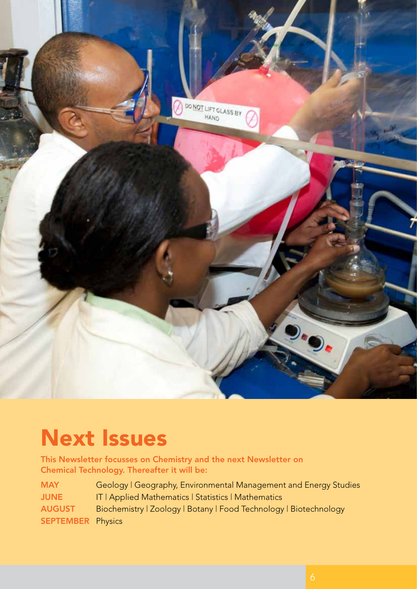

# Next Issues

This Newsletter focusses on Chemistry and the next Newsletter on Chemical Technology. Thereafter it will be:

| <b>MAY</b>               | Geology   Geography, Environmental Management and Energy Studies  |
|--------------------------|-------------------------------------------------------------------|
| <b>JUNE</b>              | IT   Applied Mathematics   Statistics   Mathematics               |
| <b>AUGUST</b>            | Biochemistry   Zoology   Botany   Food Technology   Biotechnology |
| <b>SEPTEMBER Physics</b> |                                                                   |